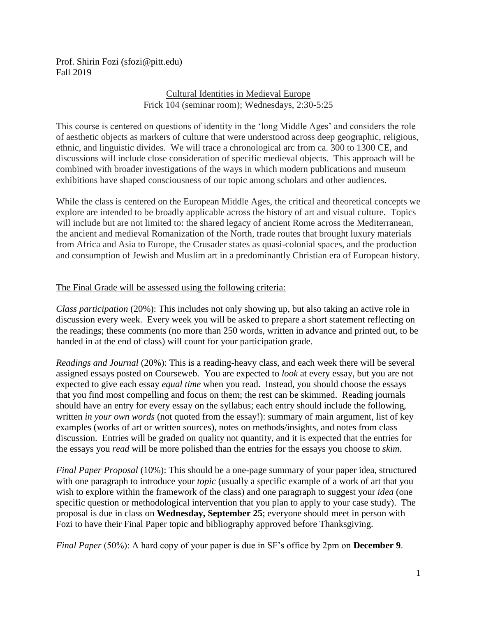Prof. Shirin Fozi (sfozi@pitt.edu) Fall 2019

# Cultural Identities in Medieval Europe Frick 104 (seminar room); Wednesdays, 2:30-5:25

This course is centered on questions of identity in the 'long Middle Ages' and considers the role of aesthetic objects as markers of culture that were understood across deep geographic, religious, ethnic, and linguistic divides. We will trace a chronological arc from ca. 300 to 1300 CE, and discussions will include close consideration of specific medieval objects. This approach will be combined with broader investigations of the ways in which modern publications and museum exhibitions have shaped consciousness of our topic among scholars and other audiences.

While the class is centered on the European Middle Ages, the critical and theoretical concepts we explore are intended to be broadly applicable across the history of art and visual culture. Topics will include but are not limited to: the shared legacy of ancient Rome across the Mediterranean, the ancient and medieval Romanization of the North, trade routes that brought luxury materials from Africa and Asia to Europe, the Crusader states as quasi-colonial spaces, and the production and consumption of Jewish and Muslim art in a predominantly Christian era of European history.

## The Final Grade will be assessed using the following criteria:

*Class participation* (20%): This includes not only showing up, but also taking an active role in discussion every week. Every week you will be asked to prepare a short statement reflecting on the readings; these comments (no more than 250 words, written in advance and printed out, to be handed in at the end of class) will count for your participation grade.

*Readings and Journal* (20%): This is a reading-heavy class, and each week there will be several assigned essays posted on Courseweb. You are expected to *look* at every essay, but you are not expected to give each essay *equal time* when you read. Instead, you should choose the essays that you find most compelling and focus on them; the rest can be skimmed. Reading journals should have an entry for every essay on the syllabus; each entry should include the following, written *in your own words* (not quoted from the essay!): summary of main argument, list of key examples (works of art or written sources), notes on methods/insights, and notes from class discussion. Entries will be graded on quality not quantity, and it is expected that the entries for the essays you *read* will be more polished than the entries for the essays you choose to *skim*.

*Final Paper Proposal* (10%): This should be a one-page summary of your paper idea, structured with one paragraph to introduce your *topic* (usually a specific example of a work of art that you wish to explore within the framework of the class) and one paragraph to suggest your *idea* (one specific question or methodological intervention that you plan to apply to your case study). The proposal is due in class on **Wednesday, September 25**; everyone should meet in person with Fozi to have their Final Paper topic and bibliography approved before Thanksgiving.

*Final Paper* (50%): A hard copy of your paper is due in SF's office by 2pm on **December 9**.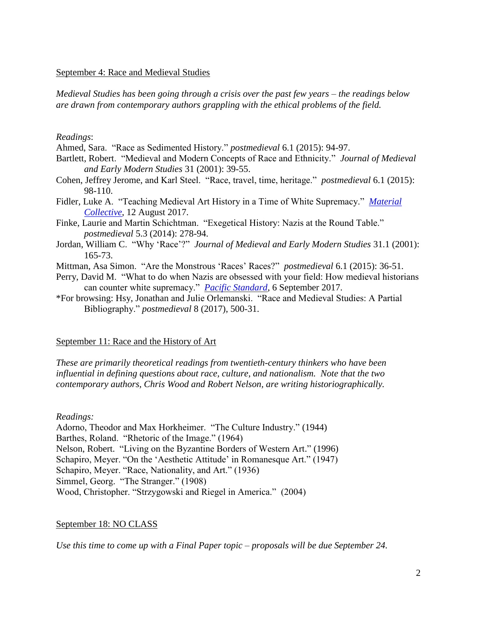#### September 4: Race and Medieval Studies

*Medieval Studies has been going through a crisis over the past few years – the readings below are drawn from contemporary authors grappling with the ethical problems of the field.*

#### *Readings*:

Ahmed, Sara. "Race as Sedimented History." *postmedieval* 6.1 (2015): 94-97.

- Bartlett, Robert. "Medieval and Modern Concepts of Race and Ethnicity." *Journal of Medieval and Early Modern Studies* 31 (2001): 39-55.
- Cohen, Jeffrey Jerome, and Karl Steel. "Race, travel, time, heritage." *postmedieval* 6.1 (2015): 98-110.
- Fidler, Luke A. "Teaching Medieval Art History in a Time of White Supremacy." *[Material](http://thematerialcollective.org/teaching-medieval-art-history-time-white-supremacy/)  [Collective](http://thematerialcollective.org/teaching-medieval-art-history-time-white-supremacy/)*, 12 August 2017.
- Finke, Laurie and Martin Schichtman. "Exegetical History: Nazis at the Round Table." *postmedieval* 5.3 (2014): 278-94.
- Jordan, William C. "Why 'Race'?" *Journal of Medieval and Early Modern Studies* 31.1 (2001): 165-73.
- Mittman, Asa Simon. "Are the Monstrous 'Races' Races?" *postmedieval* 6.1 (2015): 36-51.
- Perry, David M. "What to do when Nazis are obsessed with your field: How medieval historians can counter white supremacy." *[Pacific Standard](https://psmag.com/education/nazis-love-taylor-swift-and-also-the-crusades)*, 6 September 2017.
- \*For browsing: Hsy, Jonathan and Julie Orlemanski. "Race and Medieval Studies: A Partial Bibliography." *postmedieval* 8 (2017), 500-31.

## September 11: Race and the History of Art

*These are primarily theoretical readings from twentieth-century thinkers who have been influential in defining questions about race, culture, and nationalism. Note that the two contemporary authors, Chris Wood and Robert Nelson, are writing historiographically.* 

## *Readings:*

Adorno, Theodor and Max Horkheimer. "The Culture Industry." (1944) Barthes, Roland. "Rhetoric of the Image." (1964) Nelson, Robert. "Living on the Byzantine Borders of Western Art." (1996) Schapiro, Meyer. "On the 'Aesthetic Attitude' in Romanesque Art." (1947) Schapiro, Meyer. "Race, Nationality, and Art." (1936) Simmel, Georg. "The Stranger." (1908) Wood, Christopher. "Strzygowski and Riegel in America." (2004)

## September 18: NO CLASS

*Use this time to come up with a Final Paper topic – proposals will be due September 24.*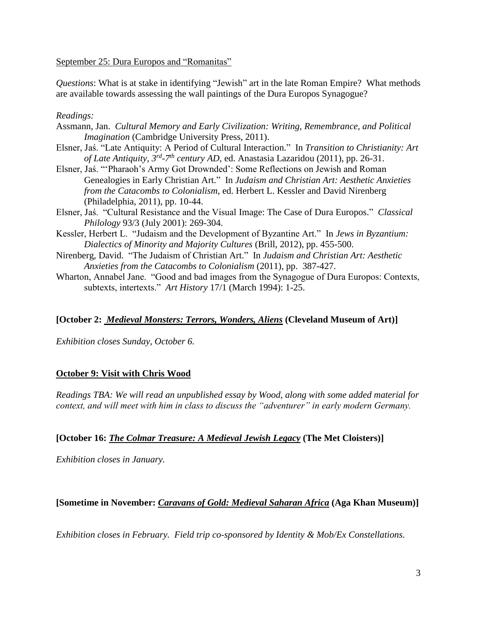September 25: Dura Europos and "Romanitas"

*Questions*: What is at stake in identifying "Jewish" art in the late Roman Empire? What methods are available towards assessing the wall paintings of the Dura Europos Synagogue?

## *Readings:*

- Assmann, Jan. *Cultural Memory and Early Civilization: Writing, Remembrance, and Political Imagination* (Cambridge University Press, 2011).
- Elsner, Jaś. "Late Antiquity: A Period of Cultural Interaction." In *Transition to Christianity: Art of Late Antiquity, 3rd -7 th century AD*, ed. Anastasia Lazaridou (2011), pp. 26-31.
- Elsner, Jaś. "'Pharaoh's Army Got Drownded': Some Reflections on Jewish and Roman Genealogies in Early Christian Art." In *Judaism and Christian Art: Aesthetic Anxieties from the Catacombs to Colonialism*, ed. Herbert L. Kessler and David Nirenberg (Philadelphia, 2011), pp. 10-44.
- Elsner, Jaś. "Cultural Resistance and the Visual Image: The Case of Dura Europos." *Classical Philology* 93/3 (July 2001): 269-304.
- Kessler, Herbert L. "Judaism and the Development of Byzantine Art." In *Jews in Byzantium: Dialectics of Minority and Majority Cultures* (Brill, 2012), pp. 455-500.
- Nirenberg, David. "The Judaism of Christian Art." In *Judaism and Christian Art: Aesthetic Anxieties from the Catacombs to Colonialism* (2011), pp. 387-427.
- Wharton, Annabel Jane. "Good and bad images from the Synagogue of Dura Europos: Contexts, subtexts, intertexts." *Art History* 17/1 (March 1994): 1-25.

# **[October 2:** *Medieval Monsters: Terrors, Wonders, Aliens* **(Cleveland Museum of Art)]**

*Exhibition closes Sunday, October 6.*

# **October 9: Visit with Chris Wood**

*Readings TBA: We will read an unpublished essay by Wood, along with some added material for context, and will meet with him in class to discuss the "adventurer" in early modern Germany.*

# **[October 16:** *The Colmar Treasure: A Medieval Jewish Legacy* **(The Met Cloisters)]**

*Exhibition closes in January.*

# **[Sometime in November:** *Caravans of Gold: Medieval Saharan Africa* **(Aga Khan Museum)]**

*Exhibition closes in February. Field trip co-sponsored by Identity & Mob/Ex Constellations.*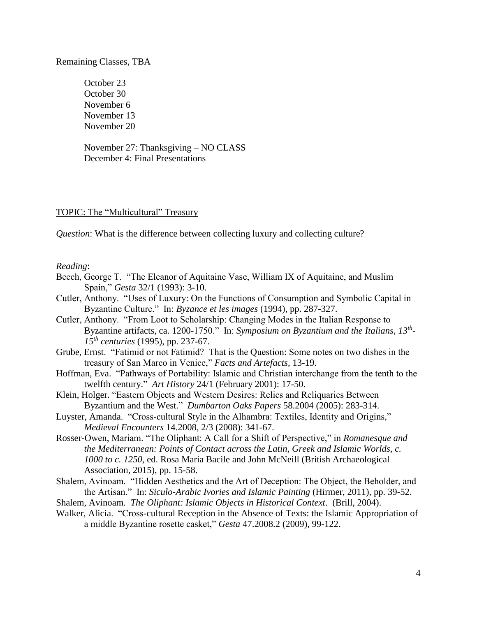October 23 October 30 November 6 November 13 November 20

November 27: Thanksgiving – NO CLASS December 4: Final Presentations

#### TOPIC: The "Multicultural" Treasury

*Question*: What is the difference between collecting luxury and collecting culture?

#### *Reading*:

- Beech, George T. "The Eleanor of Aquitaine Vase, William IX of Aquitaine, and Muslim Spain," *Gesta* 32/1 (1993): 3-10.
- Cutler, Anthony. "Uses of Luxury: On the Functions of Consumption and Symbolic Capital in Byzantine Culture." In: *Byzance et les images* (1994), pp. 287-327.
- Cutler, Anthony. "From Loot to Scholarship: Changing Modes in the Italian Response to Byzantine artifacts, ca. 1200-1750." In: *Symposium on Byzantium and the Italians, 13th - 15th centuries* (1995), pp. 237-67.
- Grube, Ernst. "Fatimid or not Fatimid? That is the Question: Some notes on two dishes in the treasury of San Marco in Venice," *Facts and Artefacts*, 13-19.
- Hoffman, Eva. "Pathways of Portability: Islamic and Christian interchange from the tenth to the twelfth century." *Art History* 24/1 (February 2001): 17-50.
- Klein, Holger. "Eastern Objects and Western Desires: Relics and Reliquaries Between Byzantium and the West." *Dumbarton Oaks Papers* 58.2004 (2005): 283-314.
- Luyster, Amanda. "Cross-cultural Style in the Alhambra: Textiles, Identity and Origins," *Medieval Encounters* 14.2008, 2/3 (2008): 341-67.
- Rosser-Owen, Mariam. "The Oliphant: A Call for a Shift of Perspective," in *Romanesque and the Mediterranean: Points of Contact across the Latin, Greek and Islamic Worlds, c. 1000 to c. 1250*, ed. Rosa Maria Bacile and John McNeill (British Archaeological Association, 2015), pp. 15-58.
- Shalem, Avinoam. "Hidden Aesthetics and the Art of Deception: The Object, the Beholder, and the Artisan." In: *Siculo-Arabic Ivories and Islamic Painting* (Hirmer, 2011), pp. 39-52.
- Shalem, Avinoam. *The Oliphant: Islamic Objects in Historical Context*. (Brill, 2004).
- Walker, Alicia. "Cross-cultural Reception in the Absence of Texts: the Islamic Appropriation of a middle Byzantine rosette casket," *Gesta* 47.2008.2 (2009), 99-122.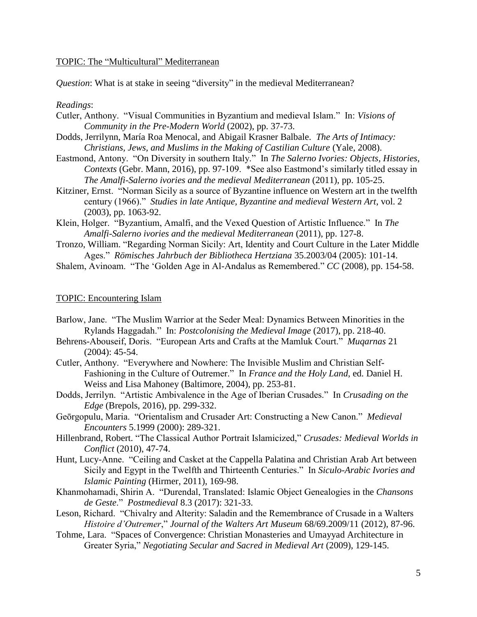#### TOPIC: The "Multicultural" Mediterranean

*Question*: What is at stake in seeing "diversity" in the medieval Mediterranean?

#### *Readings*:

- Cutler, Anthony. "Visual Communities in Byzantium and medieval Islam." In: *Visions of Community in the Pre-Modern World* (2002), pp. 37-73.
- Dodds, Jerrilynn, María Roa Menocal, and Abigail Krasner Balbale. *The Arts of Intimacy: Christians, Jews, and Muslims in the Making of Castilian Culture* (Yale, 2008).
- Eastmond, Antony. "On Diversity in southern Italy." In *The Salerno Ivories: Objects, Histories, Contexts* (Gebr. Mann, 2016), pp. 97-109. \*See also Eastmond's similarly titled essay in *The Amalfi-Salerno ivories and the medieval Mediterranean* (2011), pp. 105-25.
- Kitziner, Ernst. "Norman Sicily as a source of Byzantine influence on Western art in the twelfth century (1966)." *Studies in late Antique, Byzantine and medieval Western Art*, vol. 2 (2003), pp. 1063-92.
- Klein, Holger. "Byzantium, Amalfi, and the Vexed Question of Artistic Influence." In *The Amalfi-Salerno ivories and the medieval Mediterranean* (2011), pp. 127-8.
- Tronzo, William. "Regarding Norman Sicily: Art, Identity and Court Culture in the Later Middle Ages." *Römisches Jahrbuch der Bibliotheca Hertziana* 35.2003/04 (2005): 101-14.
- Shalem, Avinoam. "The 'Golden Age in Al-Andalus as Remembered." *CC* (2008), pp. 154-58.

## TOPIC: Encountering Islam

- Barlow, Jane. "The Muslim Warrior at the Seder Meal: Dynamics Between Minorities in the Rylands Haggadah." In: *Postcolonising the Medieval Image* (2017), pp. 218-40.
- Behrens-Abouseif, Doris. "European Arts and Crafts at the Mamluk Court." *Muqarnas* 21 (2004): 45-54.
- Cutler, Anthony. "Everywhere and Nowhere: The Invisible Muslim and Christian Self-Fashioning in the Culture of Outremer." In *France and the Holy Land*, ed. Daniel H. Weiss and Lisa Mahoney (Baltimore, 2004), pp. 253-81.
- Dodds, Jerrilyn. "Artistic Ambivalence in the Age of Iberian Crusades." In *Crusading on the Edge* (Brepols, 2016), pp. 299-332.
- Geōrgopulu, Maria. "Orientalism and Crusader Art: Constructing a New Canon." *Medieval Encounters* 5.1999 (2000): 289-321.
- Hillenbrand, Robert. "The Classical Author Portrait Islamicized," *Crusades: Medieval Worlds in Conflict* (2010), 47-74.
- Hunt, Lucy-Anne. "Ceiling and Casket at the Cappella Palatina and Christian Arab Art between Sicily and Egypt in the Twelfth and Thirteenth Centuries." In *Siculo-Arabic Ivories and Islamic Painting* (Hirmer, 2011), 169-98.
- Khanmohamadi, Shirin A. "Durendal, Translated: Islamic Object Genealogies in the *Chansons de Geste*." *Postmedieval* 8.3 (2017): 321-33.
- Leson, Richard. "Chivalry and Alterity: Saladin and the Remembrance of Crusade in a Walters *Histoire d'Outremer*," *Journal of the Walters Art Museum* 68/69.2009/11 (2012), 87-96.
- Tohme, Lara. "Spaces of Convergence: Christian Monasteries and Umayyad Architecture in Greater Syria," *Negotiating Secular and Sacred in Medieval Art* (2009), 129-145.